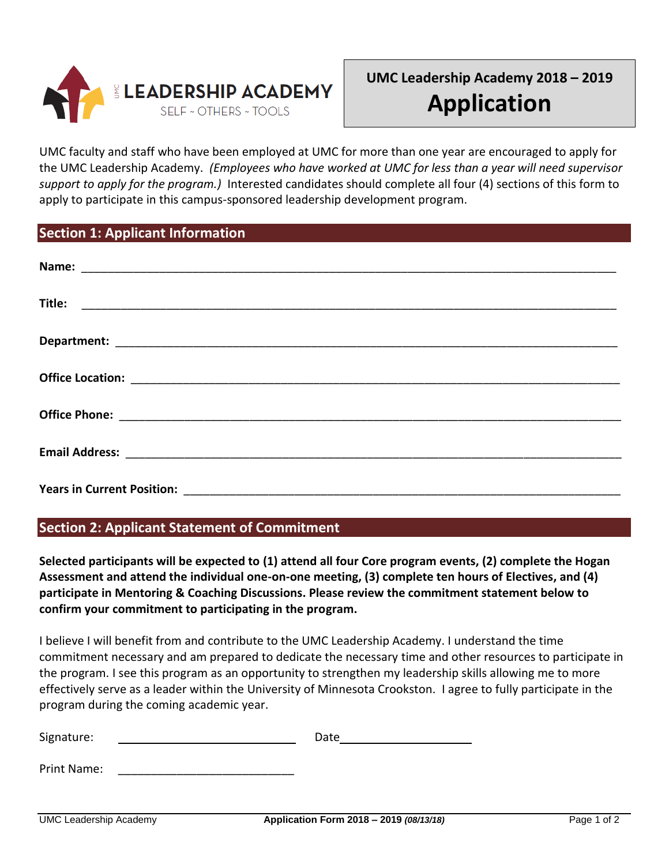

# **UMC Leadership Academy 2018 – 2019 Application**

UMC faculty and staff who have been employed at UMC for more than one year are encouraged to apply for the UMC Leadership Academy. *(Employees who have worked at UMC for less than a year will need supervisor support to apply for the program.)* Interested candidates should complete all four (4) sections of this form to apply to participate in this campus-sponsored leadership development program.

### **Section 1: Applicant Information**

| Name:                             |
|-----------------------------------|
| Title:                            |
|                                   |
|                                   |
|                                   |
|                                   |
| <b>Years in Current Position:</b> |

# **Section 2: Applicant Statement of Commitment**

**Selected participants will be expected to (1) attend all four Core program events, (2) complete the Hogan Assessment and attend the individual one-on-one meeting, (3) complete ten hours of Electives, and (4) participate in Mentoring & Coaching Discussions. Please review the commitment statement below to confirm your commitment to participating in the program.**

I believe I will benefit from and contribute to the UMC Leadership Academy. I understand the time commitment necessary and am prepared to dedicate the necessary time and other resources to participate in the program. I see this program as an opportunity to strengthen my leadership skills allowing me to more effectively serve as a leader within the University of Minnesota Crookston. I agree to fully participate in the program during the coming academic year.

| Signature:  | Date |
|-------------|------|
|             |      |
| Print Name: |      |